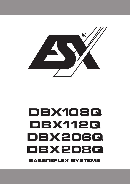

# **BASSREFLEX SYSTEMS DBX108Q DBX112Q DBX206Q DBX208Q**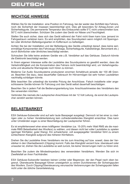#### **WICHTIGE HINWEISE**

Wählen Sie für die Installation eine Position im Fahrzeug, bei der weder das Sichtfeld des Fahrers, noch die Sicherheit der Insassen beeinträchtigt wird. Dies gilt besonders für Airbag-Zonen und Sicherheitsgurte. Die permanente Temperatur des Einbauortes sollte 5°C nicht unterschreiten bzw. 50°C nicht überschreiten. Schützen Sie zudem das Gerät vor Nässe und Feuchtigkeit.

Stellen Sie auch sicher, dass sich das Gerät während der Fahrt nicht lösen kann bzw. jemand im Fahrgastraum verletzen kann. Es wird empfohlen, das Soundsystem wenn möglich mit Spanngurten oder ähnlichen Befestigungsarten im Kofferraum zu befestigen.

Achten Sie bei der Installation und der Befestigung des Geräts unbedingt darauf, dass keine serienmäßige Komponenten des Fahrzeugs (Airbags, Sicherheitsgurte, Kabelstränge, Benzintank etc.) durch Bohrlöcher oder ähnliches beschädigt werden.

Schrauben Sie bitte keine anderen Geräte wie z.B. Verstärker auf das Gehäuse. Dadurch könnte die Elektronik beschädigt werden.

In Ihrem eigenen Interesse sollte die Lautstärke des Soundsystems so gewählt werden, dass die Verkehrsfähigkeit und die Konzentration des Fahrers nicht beeinträchtigt wird, um Verkehrsgeräusche und akustische Warnsignale noch hören zu können.

Moderne Car Audio Soundsysteme produzieren enormen Schalldruck jenseits der 100 dB Grenze. Beachten Sie dazu, dass dauerhafter Gebrauch Ihr Hörvermögen bei sehr hohen Lautstärken nachhaltig schädigen könnte.

Bitte beachten Sie unbedingt die korrekte Polung der Anschlüsse. Falsch installierte oder angeschlossene Geräte können Ihr Fahrzeug und das Gerät selbst dauerhaft beschädigen.

Beachten Sie in jedem Fall die Bedienungsanleitung bzw. Anschlusshinweise des Verstärkers den Sie verwenden möchten.

Verbinden Sie niemals die Lautsprecher-Anschlüsse mit der 12 Volt Leitung, da sonst die Lautsprecher zerstört werden können.

#### **BELASTBARKEIT**

ESX Gehäuse-Subwoofer sind auf sehr laute Basspegel ausgelegt. Dennoch ist bei einer zu niedrigen oder zu hohen Verstärkerleistung kein zufriedenstellendes Klangbild erreichbar. Dies kann unter Umständen sogar zu einer Beschädigung der Lautsprecher führen.

Es ist empfehlenswert eher einen kräftigeren Verstärker (ca. 15-20% mehr Watt RMS als die maximale RMS Belastbarkeit des Woofers) zu wählen, und diesen nicht bei voller Lautstärke zu spielen (geringer Klirrfaktor, guter Klang). Ein schwächerer, voll ausgepegelter Verstärker führt zu einem schlechteren Klangbild aufgrund des höheren Klirrfaktors.

Drehen Sie die Lautstärke Ihres Verstärkers nie bis zum Anschlag auf bzw. soweit, dass der Verstärker in den Überlastbereich (Clipping) kommt. Falls das Klangbild verzerrt bzw. übersteuert oder unsauber ist, drehen Sie die Lautstärke so weit zurück, bis keine Verzerrungen mehr zu hören sind.

Beachten Sie zudem die Mindestimpedanz des verwendeten Verstärkers. Wenden Sie sich im Zweifelsfall an ihren Fachhändler.

ESX Gehäuse-Subwoofer besitzen keinen Limiter oder Begrenzer, der den Pegel nach oben begrenzt. Übersteuerte Basspegel führen unweigerlich zu einem Durchbrennen der Schwingspulen des Woofers. Durch Clipping/Übersteuerung verursachte Verbrennungen der Schwingspulen fallen nicht unter die übliche Garantieleistung.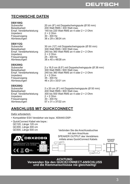## **TECHNISCHE DATEN**

## **DBX108Q**

Impedanz 2 + 2 Ohm<br>Frequenzgang 30 - 300 Hz Frequenzgang<br>Abmessungen

### **DBX112Q**

Impedanz 2 + 2 Ohm<br>Frequenzgang 25 - 300 Hz Frequenzgang 25 - 300 Hz Abmessungen

### **DBX206Q**

Impedanz 2 + 2 Ohm<br>Frequenzgang 35 - 300 Hz Frequenzgang<br>Abmessungen

## **DBX208Q**

Impedanz 2 + 2 Ohm Frequenzgang 30 - 300 Hz<br>Abmessungen 57 x 31 x 37/22 cm Abmessungen

Subwoofer 20 cm (8") mit Doppelschwingspule (Ø 50 mm)<br>Belastbarkeit 200 Watt RMS / 400 Watt max. Belastbarkeit 200 Watt RMS / 400 Watt max.<br>200 Watt RMS an 4 od 140 bis 220 Watt RMS an 4 oder  $2 + 2$  Ohm<br> $2 + 2$  Ohm 36 x 29 x 38/24 cm

Subwoofer 30 cm (12") mit Doppelschwingspule (Ø 50 mm)<br>Belastbarkeit 300 Watt RMS / 600 Watt max Belastbarkeit 300 Watt RMS / 600 Watt max.<br>1240 bis 360 Watt RMS an 4 od 240 bis 360 Watt RMS an 4 oder  $2 + 2$  Ohm  $2 + 2$  Ohm

Subwoofer 2 x 16,5 cm (6.5") mit Doppelschwingspule (Ø 38 mm) Belastbarkeit 300 Watt RMS / 600 Watt max.<br>1240 bis 360 Watt RMS an 4 od 240 bis 360 Watt RMS an 4 oder  $2 + 2$  Ohm<br> $2 + 2$  Ohm 46 x 25 x 33/21 cm

Subwoofer 2 x 20 cm (8") mit Doppelschwingspule (Ø 50 mm)<br>Belastbarkeit 400 Watt RMS / 800 Watt max. Belastbarkeit 100 Watt RMS / 800 Watt max.<br>100 Empf. Verstärkerleistung 100 bis 500 Watt RMS an 4 ode 300 bis 500 Watt RMS an 4 oder  $2 + 2$  Ohm<br> $2 + 2$  Ohm

#### **ANSCHLUSS MIT QUICKCONNECT**

#### Dafür erforderlich:

• Kompatibler ESX Verstärker wie bspw. XE6440-DSP:

 $\boxed{a}$ 

DBX208Q

• QuickConnect Kabel wie bspw.: QC120, Länge 120 cm QC300, Länge 300 cm<br>QC500, Länge 500 cm

400/800WATTS RMS/MAX.<br>IMPEDANCE 2+2 DHMS

**O** BUICK

 $\mathbb N$ C E

Verbinden Sie die Anschlussbuchse mit dem Anschluss SPEAKER OUTPUT des Verstärkers mittels eines QuickConnect Kabels





*ACHTUNG:*  **Verwenden Sie den QUICKCONNECT-ANSCHLUSS und die Klemmanschlüsse nie gleichzeitig!**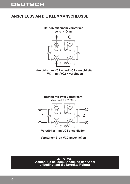# **DEUTSCH**

## **ANSCHLUSS AN DIE KLEMMANSCHLÜSSE**

**Betrieb mit einem Verstärker**

seriell 4 Ohm



**Verstärker an VC1 + und VC2 - anschließen VC1 - mit VC2 + verbinden**



**Verstärker 1 an VC1 anschließen**

**Verstärker 2 an VC2 anschließen**

*ACHTUNG:*  **Achten Sie bei dem Anschluss der Kabel unbedingt auf die korrekte Polung.**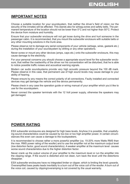#### **IMPORTANT NOTES**

Choose a suitable location for your soundsystem, that neither the driver's field of vision nor the security of the inmates will be affected. This stands also for airbag-zones and safety belts. The permanent temperature of the location should not be lower than 5°C and not higher than 50°C. Protect the device from moisture and humidity.

Ensure that your subwoofer enclosure will not get loose during the drive and hurt someone in the passenger cabin. It is recommended, that you mount the subwoofer enclosure with suitable belts or any other mounting solutions in the trunk area.

Please observe not to damage any serial components of your vehicle (airbags, wires, gastank etc.) during the installation of your soundsystem by drilling or any other operations.

Never screw or mount any other devices (amps, caps etc.) onto the subwoofer enclosure, this may cause damage to the electricity.

For your personal concerns you should choose a appropriate sound level for the subwoofer enclosure, that neither the roadworthy of the driver nor his concentration will be disturbed, that he is able to notice possible traffic noises and acoustical warning signals.

Modern car audio soundsystems provide very high acoustic pressure beyond the 100 dB mark. Please observe in this case, that permanent use of high sound levels may cause damage to your ability of hearing.

Please ensure by any means the correct polarity of all connections. Faulty installed and connected devices may get damage the vehicle and the device permanently.

Please check in any case the operation guide or wiring manual of your amplifier which you'd like to use for the soundsystem.

Never connect the speaker terminals with the 12 Volt power supply, otherwise the speakers may get damaged.

#### **POWER RATING**

ESX subwoofer enclosures are designed for high bass levels. Anyhow it is possible, that unsatisfying sound characteristics could be caused by too low or too high amplifier power. In certain circumstances this even can cause a damage to the loudspeakers.

It is recommended to choose rather a more powerful amplifier (ca. 15-20% more Watts RMS than the max. RMS power rating of the woofer) and to use the amplifier not at the maximum output level (low distortion factor, good sound characteristics). A weaker amplifier at the maximum level causes worse sound characteristics due to the higher distortion factor.

Never crank up the output volume of your amplifier to the maximum level or run the amplifier into the clipping range. If the sound is distorted and not clean, turn back the level until the distortions disappear.

ESX subwoofer enclosures have no integrated limiter or clipper, which is limiting the level upwards. Overamplified bass peaks leads inevitably to a burn out of the voice coil of the woofer. A burn out of the voice coil, caused by clipping/overamping is not covered by the usual warranty.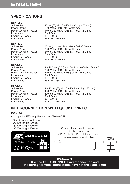# **ENGLISH**

## **SPECIFICATIONS**

## **DBX108Q**

Impedance 2 + 2 Ohms<br>
Frequency Range 30 - 300 Hz Frequency Range<br>Dimensions

## **DBX112Q**

Frequency Range<br>Dimensions

## **DBX206Q**

Impedance 2 + 2 Ohms<br>Frequency Range 35 - 300 Hz Frequency Range<br>Dimensions

## **DBX208Q**

Impedance 2 + 2 Ohms<br>Frequency Range 30 - 300 Hz Frequency Range<br>Dimensions

Subwoofer 20 cm (8") with Dual Voice Coil (Ø 50 mm)<br>
Power Rating 200 Watts RMS / 400 Watts max. Power Rating 200 Watts RMS / 400 Watts max.<br>Recom. Amplifer Power 140 to 220 Watts RMS @ 4 or 2 + 140 to 220 Watts RMS  $@$  4 or 2 + 2 Ohms<br> $2 + 2$  Ohms 36 x 29 x 38/24 cm

Subwoofer 30 cm (12") with Dual Voice Coil (Ø 50 mm)<br>
Power Rating 300 Watts RMS / 600 Watts max. Power Rating 300 Watts RMS / 600 Watts max.<br>Recom. Amplifer Power 240 to 360 Watts RMS @ 4 or 2 + Recom. Amplifer Power 240 to 360 Watts RMS @ 4 or  $2 + 2$  Ohms<br>Impedance  $2 + 2$  Ohms 2 + 2 Ohms<br>25 - 300 Hz 38 x 40 x 48/28 cm

Subwoofer 2 x 16,5 cm (6.5") with Dual Voice Coil (Ø 38 mm)<br>Power Rating 300 Watts RMS / 600 Watts max. Power Rating 200 Watts RMS / 600 Watts max.<br>Recom. Amplifer Power 240 to 360 Watts RMS @ 4 or 2 + 240 to 360 Watts RMS  $@$  4 or 2 + 2 Ohms<br> $2 + 2$  Ohms 46 x 25 x 33/21 cm

Subwoofer 2 x 20 cm (8") with Dual Voice Coil (Ø 50 mm)<br>Power Rating 20 00 Watts RMS / 800 Watts max. Power Rating 100 Watts RMS / 800 Watts max.<br>Recom. Amplifer Power 300 to 500 Watts RMS @ 4 or 2 + 300 to 500 Watts RMS  $@$  4 or 2 + 2 Ohms<br> $2 + 2$  Ohms 57 x 31 x 37/22 cm

#### **INTERCONNECTION WITH QUICKCONNECT**

#### Required:

- Compatible ESX amplifier such as XE6440-DSP:
- QuickConnect cable such as: QC120, length 120 cm QC300, length 300 cm<br>QC500, length 500 cm



*WARNING:*  **Use the QUICKCONNECT interconnection and the spring terminal connections never at the same time!**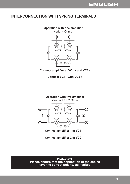#### **INTERCONNECTION WITH SPRING TERMINALS**

#### **Operation with one amplifier**

serial 4 Ohms



**Connect amplifier at VC1 + and VC2 -**

**Connect VC1 - with VC2 +**



**Connect amplifier 2 at VC2**

*WARNING:*  **Please ensure that the connection of the cables have the correct polarity as marked.**